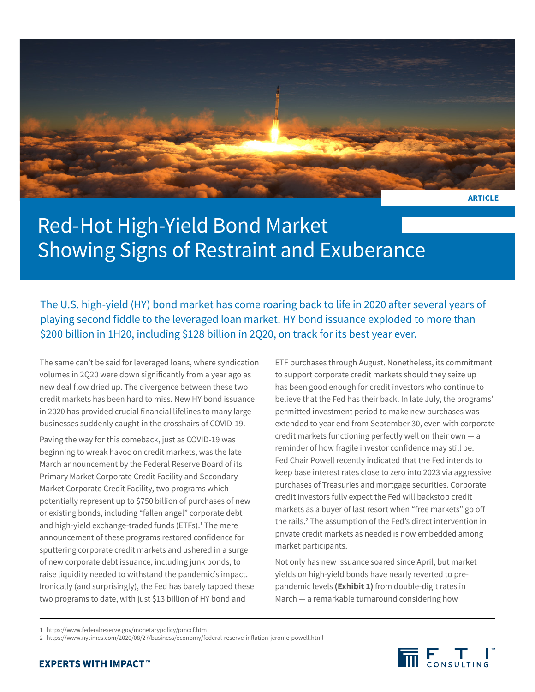

# Red-Hot High-Yield Bond Market Showing Signs of Restraint and Exuberance

The U.S. high-yield (HY) bond market has come roaring back to life in 2020 after several years of playing second fiddle to the leveraged loan market. HY bond issuance exploded to more than \$200 billion in 1H20, including \$128 billion in 2Q20, on track for its best year ever.

The same can't be said for leveraged loans, where syndication volumes in 2Q20 were down significantly from a year ago as new deal flow dried up. The divergence between these two credit markets has been hard to miss. New HY bond issuance in 2020 has provided crucial financial lifelines to many large businesses suddenly caught in the crosshairs of COVID-19.

Paving the way for this comeback, just as COVID-19 was beginning to wreak havoc on credit markets, was the late March announcement by the Federal Reserve Board of its Primary Market Corporate Credit Facility and Secondary Market Corporate Credit Facility, two programs which potentially represent up to \$750 billion of purchases of new or existing bonds, including "fallen angel" corporate debt and high-yield exchange-traded funds (ETFs).<sup>1</sup> The mere announcement of these programs restored confidence for sputtering corporate credit markets and ushered in a surge of new corporate debt issuance, including junk bonds, to raise liquidity needed to withstand the pandemic's impact. Ironically (and surprisingly), the Fed has barely tapped these two programs to date, with just \$13 billion of HY bond and

ETF purchases through August. Nonetheless, its commitment to support corporate credit markets should they seize up has been good enough for credit investors who continue to believe that the Fed has their back. In late July, the programs' permitted investment period to make new purchases was extended to year end from September 30, even with corporate credit markets functioning perfectly well on their own — a reminder of how fragile investor confidence may still be. Fed Chair Powell recently indicated that the Fed intends to keep base interest rates close to zero into 2023 via aggressive purchases of Treasuries and mortgage securities. Corporate credit investors fully expect the Fed will backstop credit markets as a buyer of last resort when "free markets" go off the rails.<sup>2</sup> The assumption of the Fed's direct intervention in private credit markets as needed is now embedded among market participants.

Not only has new issuance soared since April, but market yields on high-yield bonds have nearly reverted to prepandemic levels **(Exhibit 1)** from double-digit rates in March — a remarkable turnaround considering how



<sup>1</sup> <https://www.federalreserve.gov/monetarypolicy/pmccf.htm>

<sup>2</sup> <https://www.nytimes.com/2020/08/27/business/economy/federal-reserve-inflation-jerome-powell.html>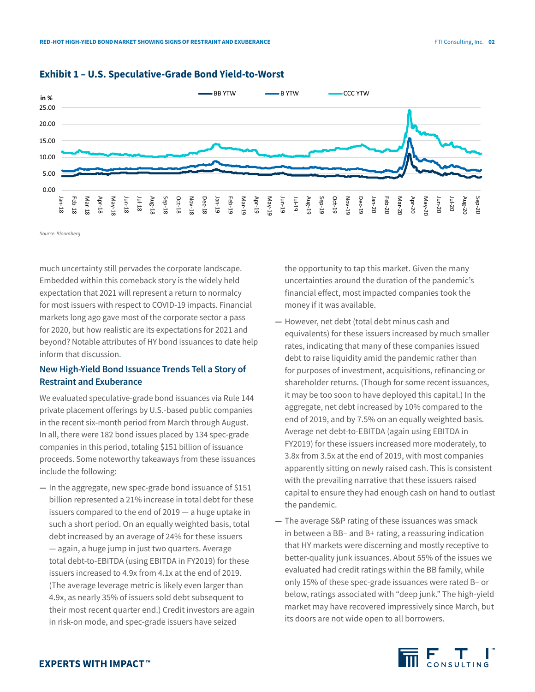

#### **Exhibit 1 – U.S. Speculative-Grade Bond Yield-to-Worst**

*Source: Bloomberg*

much uncertainty still pervades the corporate landscape. Embedded within this comeback story is the widely held expectation that 2021 will represent a return to normalcy for most issuers with respect to COVID-19 impacts. Financial markets long ago gave most of the corporate sector a pass for 2020, but how realistic are its expectations for 2021 and beyond? Notable attributes of HY bond issuances to date help inform that discussion.

### **New High-Yield Bond Issuance Trends Tell a Story of Restraint and Exuberance**

We evaluated speculative-grade bond issuances via Rule 144 private placement offerings by U.S.-based public companies in the recent six-month period from March through August. In all, there were 182 bond issues placed by 134 spec-grade companies in this period, totaling \$151 billion of issuance proceeds. Some noteworthy takeaways from these issuances include the following:

**—** In the aggregate, new spec-grade bond issuance of \$151 billion represented a 21% increase in total debt for these issuers compared to the end of 2019 — a huge uptake in such a short period. On an equally weighted basis, total debt increased by an average of 24% for these issuers — again, a huge jump in just two quarters. Average total debt-to-EBITDA (using EBITDA in FY2019) for these issuers increased to 4.9x from 4.1x at the end of 2019. (The average leverage metric is likely even larger than 4.9x, as nearly 35% of issuers sold debt subsequent to their most recent quarter end.) Credit investors are again in risk-on mode, and spec-grade issuers have seized

the opportunity to tap this market. Given the many uncertainties around the duration of the pandemic's financial effect, most impacted companies took the money if it was available.

- **—** However, net debt (total debt minus cash and equivalents) for these issuers increased by much smaller rates, indicating that many of these companies issued debt to raise liquidity amid the pandemic rather than for purposes of investment, acquisitions, refinancing or shareholder returns. (Though for some recent issuances, it may be too soon to have deployed this capital.) In the aggregate, net debt increased by 10% compared to the end of 2019, and by 7.5% on an equally weighted basis. Average net debt-to-EBITDA (again using EBITDA in FY2019) for these issuers increased more moderately, to 3.8x from 3.5x at the end of 2019, with most companies apparently sitting on newly raised cash. This is consistent with the prevailing narrative that these issuers raised capital to ensure they had enough cash on hand to outlast the pandemic.
- **—** The average S&P rating of these issuances was smack in between a BB– and B+ rating, a reassuring indication that HY markets were discerning and mostly receptive to better-quality junk issuances. About 55% of the issues we evaluated had credit ratings within the BB family, while only 15% of these spec-grade issuances were rated B– or below, ratings associated with "deep junk." The high-yield market may have recovered impressively since March, but its doors are not wide open to all borrowers.

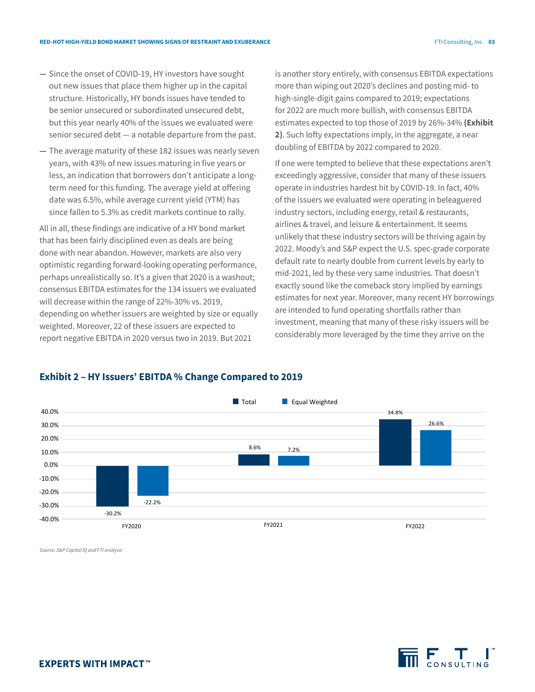- **—** Since the onset of COVID-19, HY investors have sought out new issues that place them higher up in the capital structure. Historically, HY bonds issues have tended to be senior unsecured or subordinated unsecured debt, but this year nearly 40% of the issues we evaluated were senior secured debt — a notable departure from the past.
- **—** The average maturity of these 182 issues was nearly seven years, with 43% of new issues maturing in five years or less, an indication that borrowers don't anticipate a longterm need for this funding. The average yield at offering date was 6.5%, while average current yield (YTM) has since fallen to 5.3% as credit markets continue to rally.

All in all, these findings are indicative of a HY bond market that has been fairly disciplined even as deals are being done with near abandon. However, markets are also very optimistic regarding forward-looking operating performance, perhaps unrealistically so. It's a given that 2020 is a washout; consensus EBITDA estimates for the 134 issuers we evaluated will decrease within the range of 22%-30% vs. 2019, depending on whether issuers are weighted by size or equally weighted. Moreover, 22 of these issuers are expected to report negative EBITDA in 2020 versus two in 2019. But 2021

is another story entirely, with consensus EBITDA expectations more than wiping out 2020's declines and posting mid- to high-single-digit gains compared to 2019; expectations for 2022 are much more bullish, with consensus EBITDA estimates expected to top those of 2019 by 26%-34% **(Exhibit 2)**. Such lofty expectations imply, in the aggregate, a near doubling of EBITDA by 2022 compared to 2020.

If one were tempted to believe that these expectations aren't exceedingly aggressive, consider that many of these issuers operate in industries hardest hit by COVID-19. In fact, 40% of the issuers we evaluated were operating in beleaguered industry sectors, including energy, retail & restaurants, airlines & travel, and leisure & entertainment. It seems unlikely that these industry sectors will be thriving again by 2022. Moody's and S&P expect the U.S. spec-grade corporate default rate to nearly double from current levels by early to mid-2021, led by these very same industries. That doesn't exactly sound like the comeback story implied by earnings estimates for next year. Moreover, many recent HY borrowings are intended to fund operating shortfalls rather than investment, meaning that many of these risky issuers will be considerably more leveraged by the time they arrive on the

### **Exhibit 2 – HY Issuers' EBITDA % Change Compared to 2019**



*Source: S&P Capital IQ and FTI analysis*